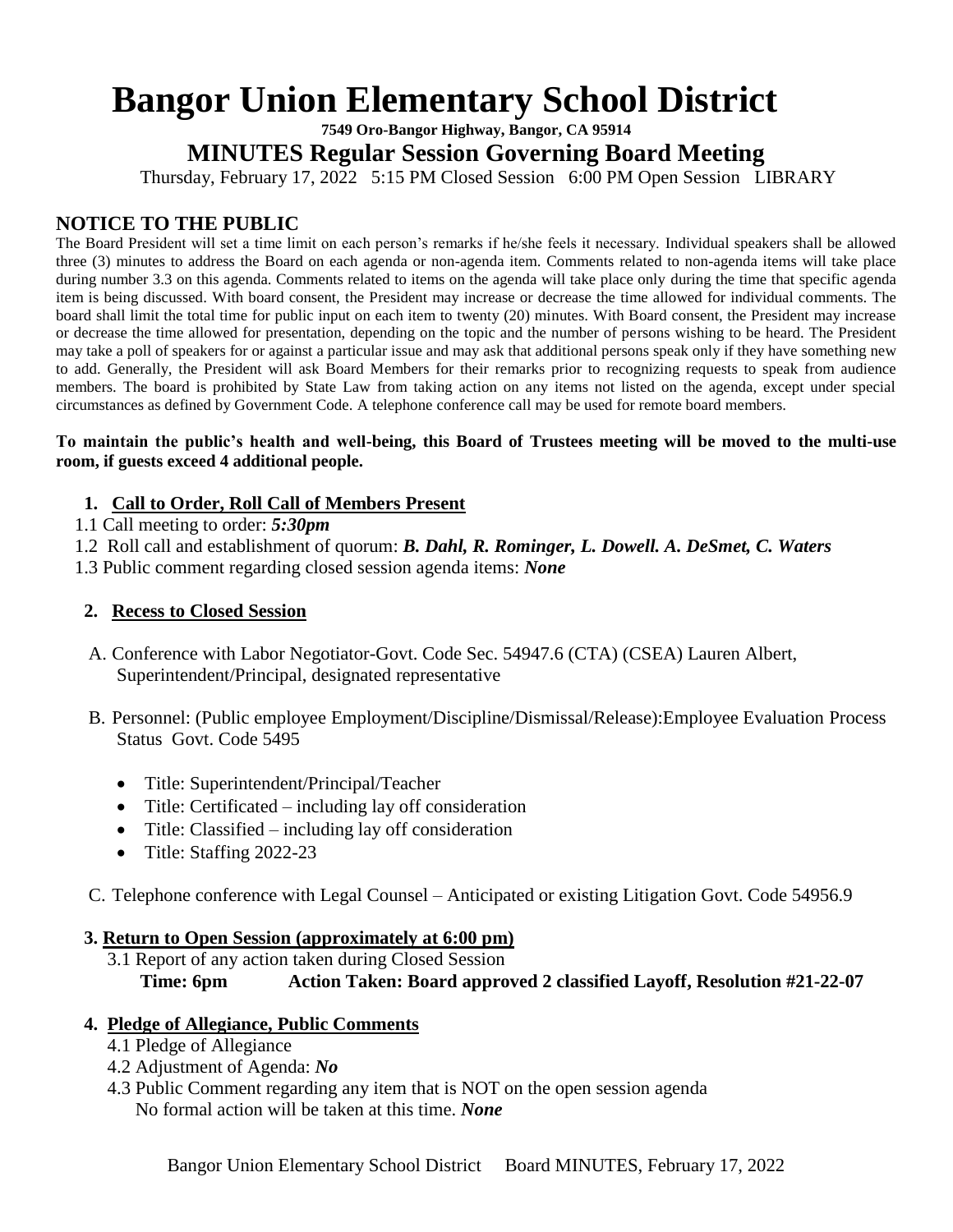# **Bangor Union Elementary School District**

**7549 Oro-Bangor Highway, Bangor, CA 95914**

**MINUTES Regular Session Governing Board Meeting**

Thursday, February 17, 2022 5:15 PM Closed Session 6:00 PM Open Session LIBRARY

# **NOTICE TO THE PUBLIC**

The Board President will set a time limit on each person's remarks if he/she feels it necessary. Individual speakers shall be allowed three (3) minutes to address the Board on each agenda or non-agenda item. Comments related to non-agenda items will take place during number 3.3 on this agenda. Comments related to items on the agenda will take place only during the time that specific agenda item is being discussed. With board consent, the President may increase or decrease the time allowed for individual comments. The board shall limit the total time for public input on each item to twenty (20) minutes. With Board consent, the President may increase or decrease the time allowed for presentation, depending on the topic and the number of persons wishing to be heard. The President may take a poll of speakers for or against a particular issue and may ask that additional persons speak only if they have something new to add. Generally, the President will ask Board Members for their remarks prior to recognizing requests to speak from audience members. The board is prohibited by State Law from taking action on any items not listed on the agenda, except under special circumstances as defined by Government Code. A telephone conference call may be used for remote board members.

#### **To maintain the public's health and well-being, this Board of Trustees meeting will be moved to the multi-use room, if guests exceed 4 additional people.**

## **1. Call to Order, Roll Call of Members Present**

- 1.1 Call meeting to order: *5:30pm*
- 1.2 Roll call and establishment of quorum: *B. Dahl, R. Rominger, L. Dowell. A. DeSmet, C. Waters*
- 1.3 Public comment regarding closed session agenda items: *None*

# **2. Recess to Closed Session**

- A. Conference with Labor Negotiator-Govt. Code Sec. 54947.6 (CTA) (CSEA) Lauren Albert, Superintendent/Principal, designated representative
- B. Personnel: (Public employee Employment/Discipline/Dismissal/Release):Employee Evaluation Process Status Govt. Code 5495
	- Title: Superintendent/Principal/Teacher
	- Title: Certificated including lay off consideration
	- Title: Classified including lay off consideration
	- Title: Staffing 2022-23
- C. Telephone conference with Legal Counsel Anticipated or existing Litigation Govt. Code 54956.9

## **3. Return to Open Session (approximately at 6:00 pm)**

 3.1 Report of any action taken during Closed Session **Time: 6pm Action Taken: Board approved 2 classified Layoff, Resolution #21-22-07**

## **4. Pledge of Allegiance, Public Comments**

- 4.1 Pledge of Allegiance
- 4.2 Adjustment of Agenda: *No*
- 4.3 Public Comment regarding any item that is NOT on the open session agenda No formal action will be taken at this time. *None*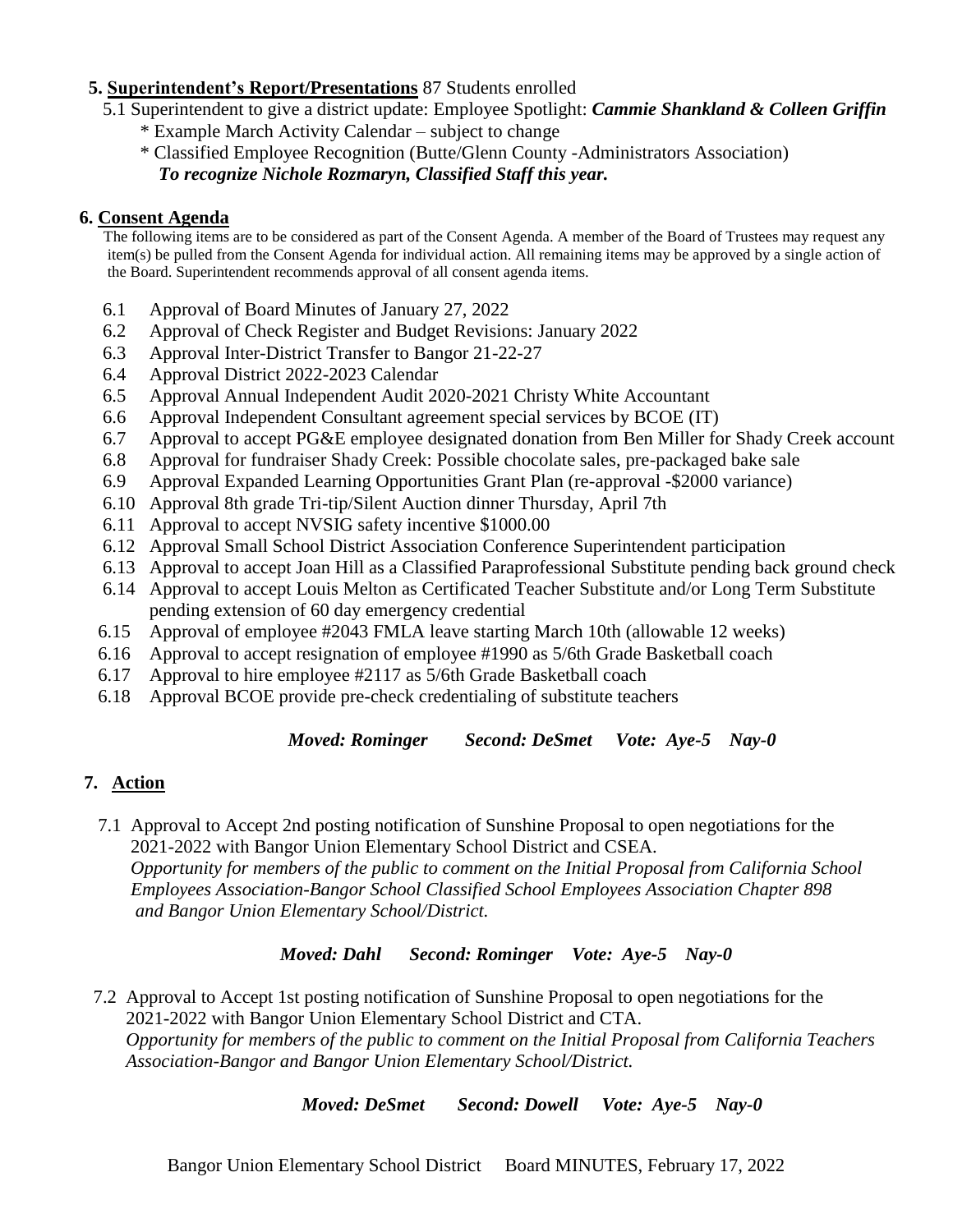#### **5. Superintendent's Report/Presentations** 87 Students enrolled

- 5.1 Superintendent to give a district update: Employee Spotlight: *Cammie Shankland & Colleen Griffin*
	- \* Example March Activity Calendar subject to change
	- \* Classified Employee Recognition (Butte/Glenn County -Administrators Association) *To recognize Nichole Rozmaryn, Classified Staff this year.*

#### **6. Consent Agenda**

 The following items are to be considered as part of the Consent Agenda. A member of the Board of Trustees may request any item(s) be pulled from the Consent Agenda for individual action. All remaining items may be approved by a single action of the Board. Superintendent recommends approval of all consent agenda items.

- 6.1 Approval of Board Minutes of January 27, 2022
- 6.2 Approval of Check Register and Budget Revisions: January 2022
- 6.3 Approval Inter-District Transfer to Bangor 21-22-27
- 6.4 Approval District 2022-2023 Calendar
- 6.5 Approval Annual Independent Audit 2020-2021 Christy White Accountant
- 6.6 Approval Independent Consultant agreement special services by BCOE (IT)
- 6.7 Approval to accept PG&E employee designated donation from Ben Miller for Shady Creek account
- 6.8 Approval for fundraiser Shady Creek: Possible chocolate sales, pre-packaged bake sale
- 6.9 Approval Expanded Learning Opportunities Grant Plan (re-approval -\$2000 variance)
- 6.10 Approval 8th grade Tri-tip/Silent Auction dinner Thursday, April 7th
- 6.11 Approval to accept NVSIG safety incentive \$1000.00
- 6.12 Approval Small School District Association Conference Superintendent participation
- 6.13 Approval to accept Joan Hill as a Classified Paraprofessional Substitute pending back ground check
- 6.14 Approval to accept Louis Melton as Certificated Teacher Substitute and/or Long Term Substitute pending extension of 60 day emergency credential
- 6.15 Approval of employee #2043 FMLA leave starting March 10th (allowable 12 weeks)
- 6.16 Approval to accept resignation of employee #1990 as 5/6th Grade Basketball coach
- 6.17 Approval to hire employee #2117 as 5/6th Grade Basketball coach
- 6.18 Approval BCOE provide pre-check credentialing of substitute teachers

*Moved: Rominger Second: DeSmet Vote: Aye-5 Nay-0*

# **7. Action**

 7.1 Approval to Accept 2nd posting notification of Sunshine Proposal to open negotiations for the 2021-2022 with Bangor Union Elementary School District and CSEA.  *Opportunity for members of the public to comment on the Initial Proposal from California School Employees Association-Bangor School Classified School Employees Association Chapter 898 and Bangor Union Elementary School/District.* 

*Moved: Dahl Second: Rominger Vote: Aye-5 Nay-0*

 7.2 Approval to Accept 1st posting notification of Sunshine Proposal to open negotiations for the 2021-2022 with Bangor Union Elementary School District and CTA.  *Opportunity for members of the public to comment on the Initial Proposal from California Teachers Association-Bangor and Bangor Union Elementary School/District.* 

*Moved: DeSmet Second: Dowell Vote: Aye-5 Nay-0*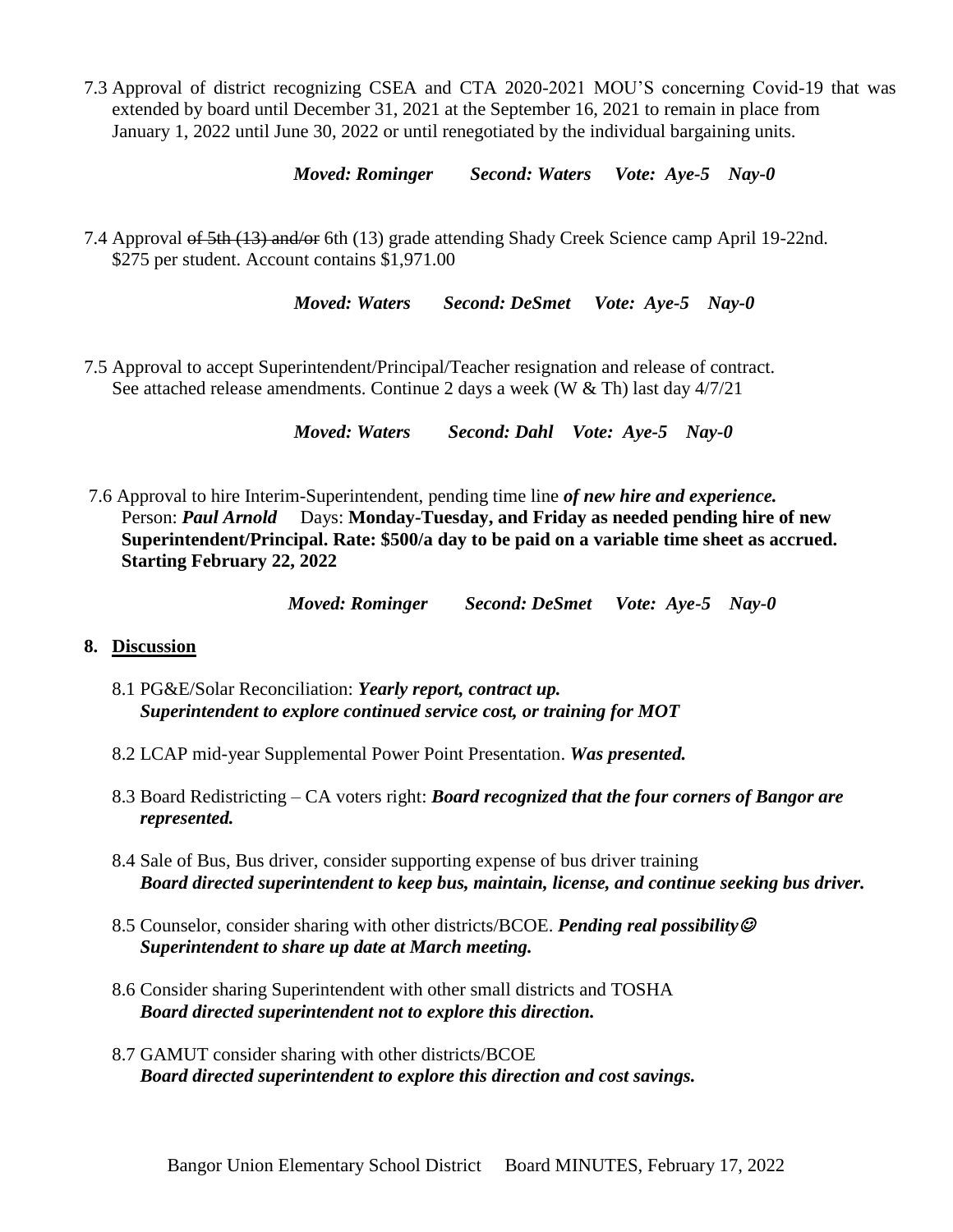7.3 Approval of district recognizing CSEA and CTA 2020-2021 MOU'S concerning Covid-19 that was extended by board until December 31, 2021 at the September 16, 2021 to remain in place from January 1, 2022 until June 30, 2022 or until renegotiated by the individual bargaining units.

*Moved: Rominger Second: Waters Vote: Aye-5 Nay-0*

7.4 Approval of 5th (13) and/or 6th (13) grade attending Shady Creek Science camp April 19-22nd. \$275 per student. Account contains \$1,971.00

 *Moved: Waters Second: DeSmet Vote: Aye-5 Nay-0*

7.5 Approval to accept Superintendent/Principal/Teacher resignation and release of contract. See attached release amendments. Continue 2 days a week (W & Th) last day 4/7/21

*Moved: Waters Second: Dahl Vote: Aye-5 Nay-0*

 7.6 Approval to hire Interim-Superintendent, pending time line *of new hire and experience.* Person: *Paul Arnold* Days: **Monday-Tuesday, and Friday as needed pending hire of new Superintendent/Principal. Rate: \$500/a day to be paid on a variable time sheet as accrued. Starting February 22, 2022**

*Moved: Rominger Second: DeSmet Vote: Aye-5 Nay-0*

#### **8. Discussion**

- 8.1 PG&E/Solar Reconciliation: *Yearly report, contract up. Superintendent to explore continued service cost, or training for MOT*
- 8.2 LCAP mid-year Supplemental Power Point Presentation. *Was presented.*
- 8.3 Board Redistricting CA voters right: *Board recognized that the four corners of Bangor are represented.*
- 8.4 Sale of Bus, Bus driver, consider supporting expense of bus driver training *Board directed superintendent to keep bus, maintain, license, and continue seeking bus driver.*
- 8.5 Counselor, consider sharing with other districts/BCOE. *Pending real possibility Superintendent to share up date at March meeting.*
- 8.6 Consider sharing Superintendent with other small districts and TOSHA *Board directed superintendent not to explore this direction.*
- 8.7 GAMUT consider sharing with other districts/BCOE *Board directed superintendent to explore this direction and cost savings.*